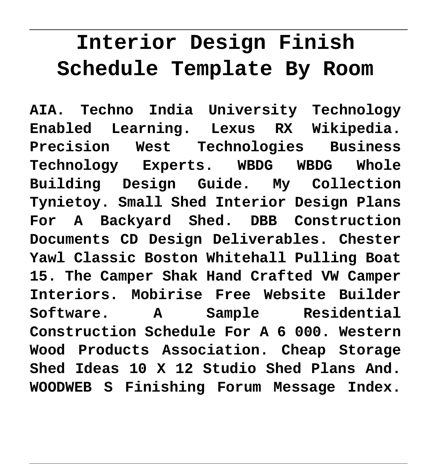# **Interior Design Finish Schedule Template By Room**

**AIA. Techno India University Technology Enabled Learning. Lexus RX Wikipedia. Precision West Technologies Business Technology Experts. WBDG WBDG Whole Building Design Guide. My Collection Tynietoy. Small Shed Interior Design Plans For A Backyard Shed. DBB Construction Documents CD Design Deliverables. Chester Yawl Classic Boston Whitehall Pulling Boat 15. The Camper Shak Hand Crafted VW Camper Interiors. Mobirise Free Website Builder Software. A Sample Residential Construction Schedule For A 6 000. Western Wood Products Association. Cheap Storage Shed Ideas 10 X 12 Studio Shed Plans And. WOODWEB S Finishing Forum Message Index.**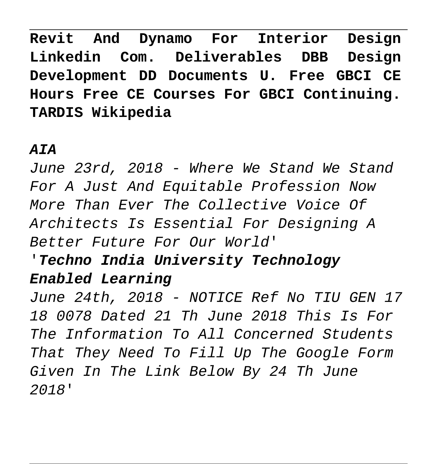**Revit And Dynamo For Interior Design Linkedin Com. Deliverables DBB Design Development DD Documents U. Free GBCI CE Hours Free CE Courses For GBCI Continuing. TARDIS Wikipedia**

### **AIA**

June 23rd, 2018 - Where We Stand We Stand For A Just And Equitable Profession Now More Than Ever The Collective Voice Of Architects Is Essential For Designing A Better Future For Our World'

### '**Techno India University Technology Enabled Learning**

June 24th, 2018 - NOTICE Ref No TIU GEN 17 18 0078 Dated 21 Th June 2018 This Is For The Information To All Concerned Students That They Need To Fill Up The Google Form Given In The Link Below By 24 Th June 2018'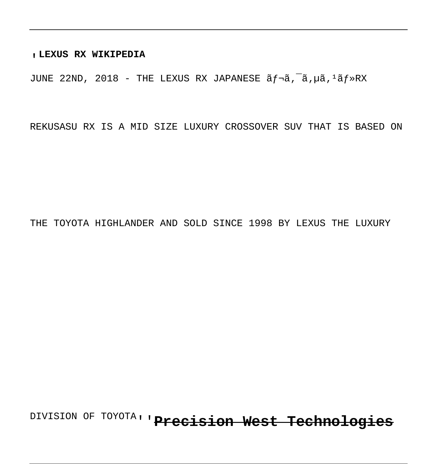#### '**LEXUS RX WIKIPEDIA**

JUNE 22ND, 2018 - THE LEXUS RX JAPANESE  $\tilde{a}f\tilde{a}$ ,  $\tilde{a}$ ,  $\tilde{a}$ ,  $\tilde{a}f\tilde{a}$ ,  $\tilde{a}f\tilde{a}$ ,  $\tilde{a}f\tilde{a}$ 

REKUSASU RX IS A MID SIZE LUXURY CROSSOVER SUV THAT IS BASED ON

THE TOYOTA HIGHLANDER AND SOLD SINCE 1998 BY LEXUS THE LUXURY

DIVISION OF TOYOTA''**Precision West Technologies**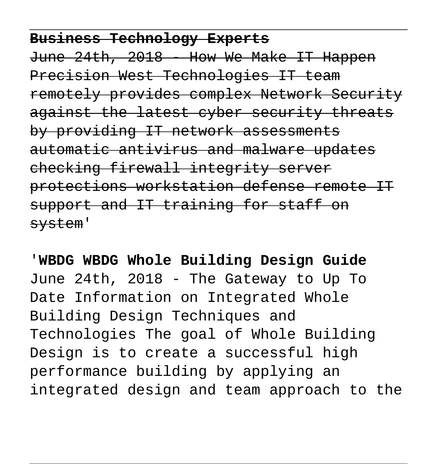### **Business Technology Experts**

June 24th, 2018 - How We Make IT Happen Precision West Technologies IT team remotely provides complex Network Security against the latest cyber security threats by providing IT network assessments automatic antivirus and malware updates checking firewall integrity server protections workstation defense remote IT support and IT training for staff on system'

# '**WBDG WBDG Whole Building Design Guide** June 24th, 2018 - The Gateway to Up To Date Information on Integrated Whole Building Design Techniques and Technologies The goal of Whole Building Design is to create a successful high performance building by applying an integrated design and team approach to the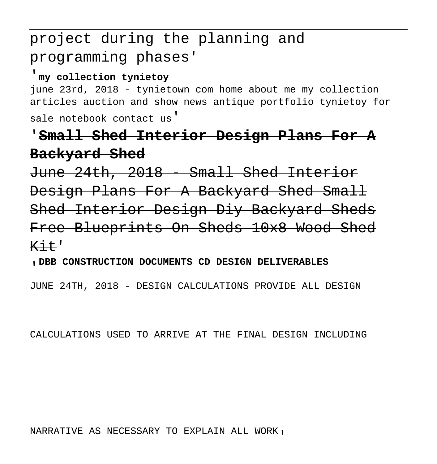## project during the planning and programming phases'

#### '**my collection tynietoy**

june 23rd, 2018 - tynietown com home about me my collection articles auction and show news antique portfolio tynietoy for sale notebook contact us'

### '**Small Shed Interior Design Plans For A Backyard Shed**

June 24th, 2018 - Small Shed Interior Design Plans For A Backyard Shed Small Shed Interior Design Diy Backyard Sheds Free Blueprints On Sheds 10x8 Wood Shed  $K++$ 

#### '**DBB CONSTRUCTION DOCUMENTS CD DESIGN DELIVERABLES**

JUNE 24TH, 2018 - DESIGN CALCULATIONS PROVIDE ALL DESIGN

CALCULATIONS USED TO ARRIVE AT THE FINAL DESIGN INCLUDING

#### NARRATIVE AS NECESSARY TO EXPLAIN ALL WORK'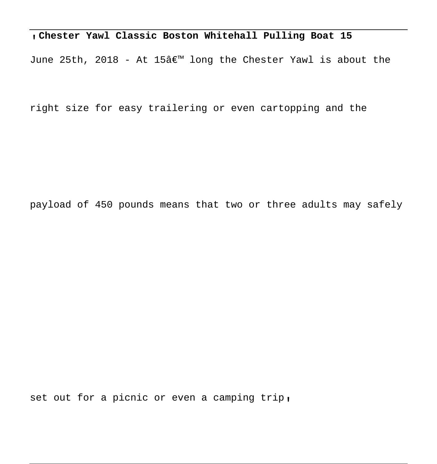#### '**Chester Yawl Classic Boston Whitehall Pulling Boat 15**

June 25th, 2018 - At 15 $\hat{\alpha}$  long the Chester Yawl is about the

right size for easy trailering or even cartopping and the

payload of 450 pounds means that two or three adults may safely

set out for a picnic or even a camping trip,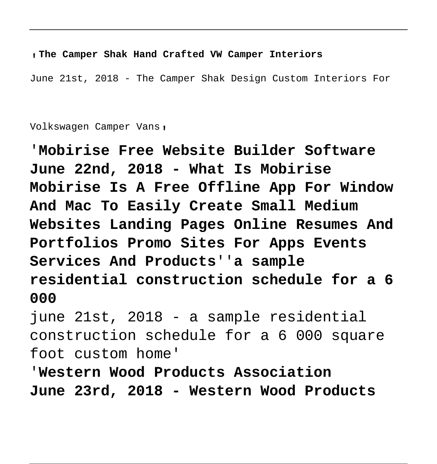#### '**The Camper Shak Hand Crafted VW Camper Interiors**

June 21st, 2018 - The Camper Shak Design Custom Interiors For

Volkswagen Camper Vans'

'**Mobirise Free Website Builder Software June 22nd, 2018 - What Is Mobirise Mobirise Is A Free Offline App For Window And Mac To Easily Create Small Medium Websites Landing Pages Online Resumes And Portfolios Promo Sites For Apps Events Services And Products**''**a sample residential construction schedule for a 6 000**

june 21st, 2018 - a sample residential construction schedule for a 6 000 square foot custom home'

'**Western Wood Products Association June 23rd, 2018 - Western Wood Products**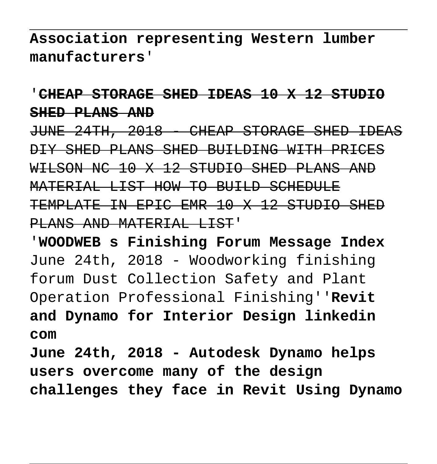**Association representing Western lumber manufacturers**'

'**CHEAP STORAGE SHED IDEAS 10 X 12 STUDIO SHED PLANS AND**

JUNE 24TH, 2018 - CHEAP STORAGE SHED IDEAS DIY SHED PLANS SHED BUILDING WITH PRICES WILSON NC 10 X 12 STUDIO SHED PLANS AND MATERIAL LIST HOW TO BUILD SCHEDULE TEMPLATE IN EPIC EMR 10 X 12 STUDIO SHED PLANS AND MATERIAL LIST'

'**WOODWEB s Finishing Forum Message Index** June 24th, 2018 - Woodworking finishing forum Dust Collection Safety and Plant Operation Professional Finishing''**Revit and Dynamo for Interior Design linkedin com June 24th, 2018 - Autodesk Dynamo helps**

**users overcome many of the design challenges they face in Revit Using Dynamo**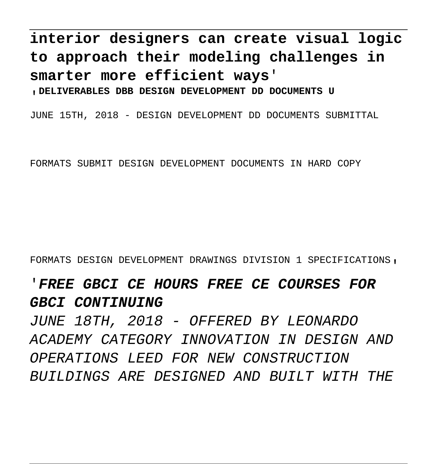# **interior designers can create visual logic to approach their modeling challenges in smarter more efficient ways**'

'**DELIVERABLES DBB DESIGN DEVELOPMENT DD DOCUMENTS U**

JUNE 15TH, 2018 - DESIGN DEVELOPMENT DD DOCUMENTS SUBMITTAL

FORMATS SUBMIT DESIGN DEVELOPMENT DOCUMENTS IN HARD COPY

FORMATS DESIGN DEVELOPMENT DRAWINGS DIVISION 1 SPECIFICATIONS'

### '**FREE GBCI CE HOURS FREE CE COURSES FOR** GBCI CONTINUING

JUNE 18TH, 2018 - OFFERED BY LEONARDO ACADEMY CATEGORY INNOVATION IN DESIGN AND OPERATIONS LEED FOR NEW CONSTRUCTION BUILDINGS ARE DESIGNED AND BUILT WITH THE